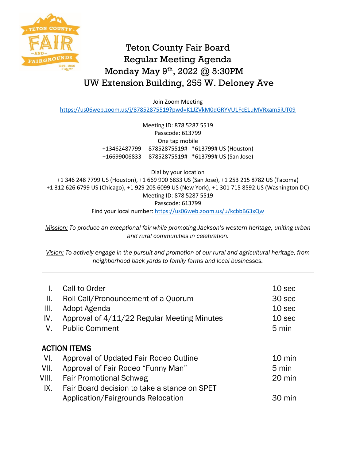

## Teton County Fair Board Regular Meeting Agenda Monday May 9th, 2022 @ 5:30PM UW Extension Building, 255 W. Deloney Ave

Join Zoom Meeting

<https://us06web.zoom.us/j/87852875519?pwd=K1JZVkM0dGRYVU1FcE1uMVRxam5iUT09>

Meeting ID: 878 5287 5519 Passcode: 613799 One tap mobile +13462487799 87852875519# \*613799# US (Houston) +16699006833 87852875519# \*613799# US (San Jose)

Dial by your location +1 346 248 7799 US (Houston), +1 669 900 6833 US (San Jose), +1 253 215 8782 US (Tacoma) +1 312 626 6799 US (Chicago), +1 929 205 6099 US (New York), +1 301 715 8592 US (Washington DC) Meeting ID: 878 5287 5519 Passcode: 613799 Find your local number:<https://us06web.zoom.us/u/kcbbB63xQw>

*Mission: To produce an exceptional fair while promoting Jackson's western heritage, uniting urban and rural communities in celebration.*

*Vision: To actively engage in the pursuit and promotion of our rural and agricultural heritage, from neighborhood back yards to family farms and local businesses.*

|                     | Call to Order                                | 10 <sub>sec</sub> |  |
|---------------------|----------------------------------------------|-------------------|--|
| Ⅱ.                  | Roll Call/Pronouncement of a Quorum          | 30 sec            |  |
| Ш.                  | Adopt Agenda                                 | 10 <sub>sec</sub> |  |
| IV.                 | Approval of 4/11/22 Regular Meeting Minutes  | 10 <sub>sec</sub> |  |
| V.                  | <b>Public Comment</b>                        | 5 min             |  |
|                     |                                              |                   |  |
| <b>ACTION ITEMS</b> |                                              |                   |  |
| VI.                 | Approval of Updated Fair Rodeo Outline       | $10 \text{ min}$  |  |
| VII.                | Approval of Fair Rodeo "Funny Man"           | 5 min             |  |
| VIII.               | <b>Fair Promotional Schwag</b>               | 20 min            |  |
| IX.                 | Fair Board decision to take a stance on SPET |                   |  |
|                     | Application/Fairgrounds Relocation           | 30 min            |  |
|                     |                                              |                   |  |